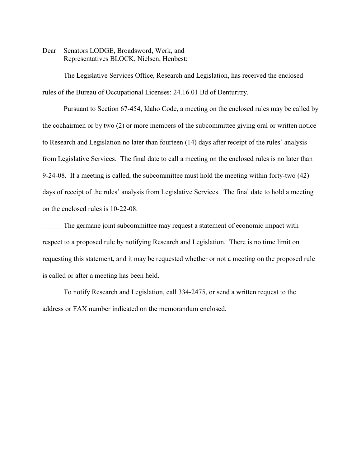Dear Senators LODGE, Broadsword, Werk, and Representatives BLOCK, Nielsen, Henbest:

The Legislative Services Office, Research and Legislation, has received the enclosed rules of the Bureau of Occupational Licenses: 24.16.01 Bd of Denturitry.

Pursuant to Section 67-454, Idaho Code, a meeting on the enclosed rules may be called by the cochairmen or by two (2) or more members of the subcommittee giving oral or written notice to Research and Legislation no later than fourteen (14) days after receipt of the rules' analysis from Legislative Services. The final date to call a meeting on the enclosed rules is no later than 9-24-08. If a meeting is called, the subcommittee must hold the meeting within forty-two (42) days of receipt of the rules' analysis from Legislative Services. The final date to hold a meeting on the enclosed rules is 10-22-08.

The germane joint subcommittee may request a statement of economic impact with respect to a proposed rule by notifying Research and Legislation. There is no time limit on requesting this statement, and it may be requested whether or not a meeting on the proposed rule is called or after a meeting has been held.

To notify Research and Legislation, call 334-2475, or send a written request to the address or FAX number indicated on the memorandum enclosed.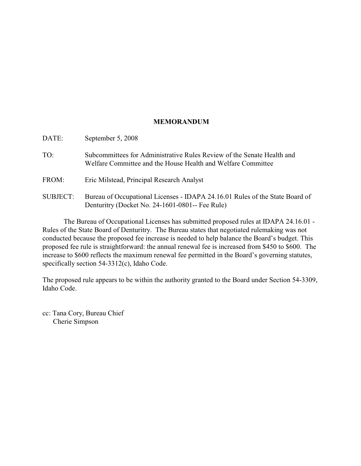## **MEMORANDUM**

| DATE:           | September 5, 2008                                                                                                                      |
|-----------------|----------------------------------------------------------------------------------------------------------------------------------------|
| TO:             | Subcommittees for Administrative Rules Review of the Senate Health and<br>Welfare Committee and the House Health and Welfare Committee |
| FROM:           | Eric Milstead, Principal Research Analyst                                                                                              |
| <b>SUBJECT:</b> | Bureau of Occupational Licenses - IDAPA 24.16.01 Rules of the State Board of<br>Denturitry (Docket No. 24-1601-0801-- Fee Rule)        |

The Bureau of Occupational Licenses has submitted proposed rules at IDAPA 24.16.01 - Rules of the State Board of Denturitry. The Bureau states that negotiated rulemaking was not conducted because the proposed fee increase is needed to help balance the Board's budget. This proposed fee rule is straightforward: the annual renewal fee is increased from \$450 to \$600. The increase to \$600 reflects the maximum renewal fee permitted in the Board's governing statutes, specifically section 54-3312(c), Idaho Code.

The proposed rule appears to be within the authority granted to the Board under Section 54-3309, Idaho Code.

cc: Tana Cory, Bureau Chief Cherie Simpson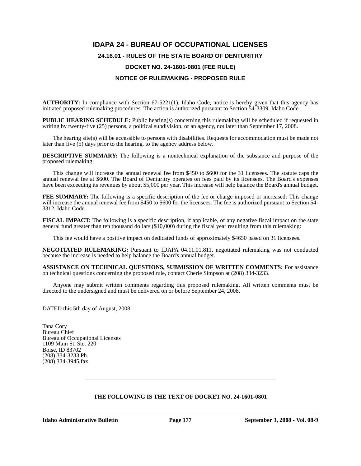## **IDAPA 24 - BUREAU OF OCCUPATIONAL LICENSES 24.16.01 - RULES OF THE STATE BOARD OF DENTURITRY DOCKET NO. 24-1601-0801 (FEE RULE) NOTICE OF RULEMAKING - PROPOSED RULE**

**AUTHORITY:** In compliance with Section 67-5221(1), Idaho Code, notice is hereby given that this agency has initiated proposed rulemaking procedures. The action is authorized pursuant to Section 54-3309, Idaho Code.

**PUBLIC HEARING SCHEDULE:** Public hearing(s) concerning this rulemaking will be scheduled if requested in writing by twenty-five (25) persons, a political subdivision, or an agency, not later than September 17, 2008.

The hearing site(s) will be accessible to persons with disabilities. Requests for accommodation must be made not later than five  $(5)$  days prior to the hearing, to the agency address below.

**DESCRIPTIVE SUMMARY:** The following is a nontechnical explanation of the substance and purpose of the proposed rulemaking:

This change will increase the annual renewal fee from \$450 to \$600 for the 31 licensees. The statute caps the annual renewal fee at \$600. The Board of Denturitry operates on fees paid by its licensees. The Board's expenses have been exceeding its revenues by about \$5,000 per year. This increase will help balance the Board's annual budget.

**FEE SUMMARY:** The following is a specific description of the fee or charge imposed or increased: This change will increase the annual renewal fee from \$450 to \$600 for the licensees. The fee is authorized pursuant to Section 54-3312, Idaho Code.

**FISCAL IMPACT:** The following is a specific description, if applicable, of any negative fiscal impact on the state general fund greater than ten thousand dollars (\$10,000) during the fiscal year resulting from this rulemaking:

This fee would have a positive impact on dedicated funds of approximately \$4650 based on 31 licensees.

**NEGOTIATED RULEMAKING:** Pursuant to IDAPA 04.11.01.811, negotiated rulemaking was not conducted because the increase is needed to help balance the Board's annual budget.

**ASSISTANCE ON TECHNICAL QUESTIONS, SUBMISSION OF WRITTEN COMMENTS:** For assistance on technical questions concerning the proposed rule, contact Cherie Simpson at (208) 334-3233.

Anyone may submit written comments regarding this proposed rulemaking. All written comments must be directed to the undersigned and must be delivered on or before September 24, 2008.

DATED this 5th day of August, 2008.

Tana Cory Bureau Chief Bureau of Occupational Licenses 1109 Main St. Ste. 220 Boise, ID 83702 (208) 334-3233 Ph. (208) 334-3945,fax

## **THE FOLLOWING IS THE TEXT OF DOCKET NO. 24-1601-0801**